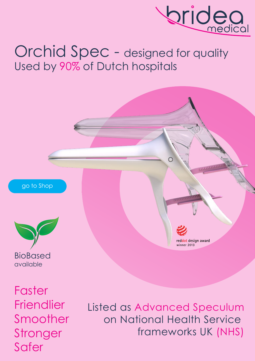

# Orchid Spec - designed for quality Used by 90% of Dutch hospitals



ww.brideamedical.com<br>www.brideamedia www.brideamedical.com/



BioBased available

**Faster Friendlier** Smoother **Stronger** Safer

Listed as Advanced Speculum on National Health Service frameworks UK (NHS)

red<mark>dot</mark> design award winner 2013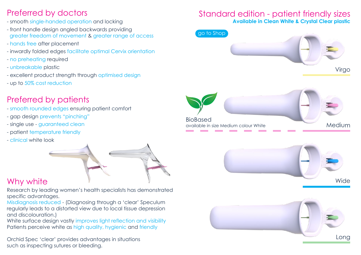## Preferred by doctors

- smooth single-handed operation and locking
- front handle design angled backwards providing greater freedom of movement & greater range of access
- hands free after placement
- inwardly folded edges facilitate optimal Cervix orientation
- no preheating required
- unbreakable plastic
- excellent product strength through optimised design
- up to 50% cost reduction

# Preferred by patients

- smooth rounded edges ensuring patient comfort
- gap design prevents "pinching"
- single use guaranteed clean
- patient temperature friendly
- clinical white look



# Why white

Research by leading women's health specialists has demonstrated specific advantages.

Misdiagnosis reduced - (Diagnosing through a 'clear' Speculum regularly leads to a distorted view due to local tissue depression and discolouration.)

White surface design vastly improves light reflection and visibility Patients perceive white as high quality, hygienic and friendly

Orchid Spec 'clear' provides advantages in situations such as inspecting sutures or bleeding.

## Standard edition - patient friendly sizes **Available in Clean White & Crystal Clear plastic**

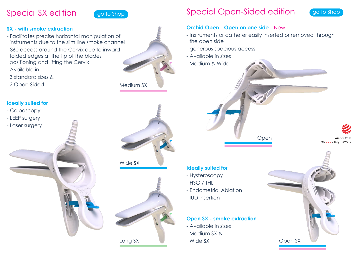# Special SX edition



#### **SX - with smoke extraction**

- Facilitates precise horizontal manipulation of instruments due to the slim line smoke channel
- 360 access around the Cervix due to inward folded edges at the tip of the blades positioning and lifting the Cervix
- Available in
- 3 standard sizes &

2 Open-Sided





## Special Open-Sided edition



- Instruments or catheter easily inserted or removed through the open side

Open

- generous spacious access
- Available in sizes Medium & Wide

winner 2016 reddot design award

#### **Ideally suited for**

- Hysteroscopy
- HSG / THL
- Endometrial Ablation
- IUD insertion

#### **Open SX - smoke extraction**

- Available in sizes Medium SX & Wide SX